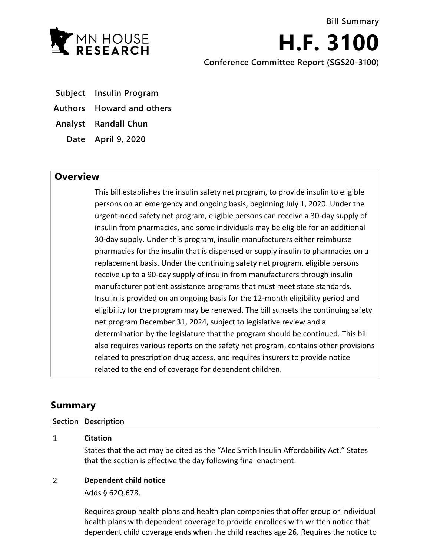

**H.F. 3100 Conference Committee Report (SGS20-3100)**

- **Subject Insulin Program**
- **Authors Howard and others**

**Analyst Randall Chun**

**Date April 9, 2020**

## **Overview**

This bill establishes the insulin safety net program, to provide insulin to eligible persons on an emergency and ongoing basis, beginning July 1, 2020. Under the urgent-need safety net program, eligible persons can receive a 30-day supply of insulin from pharmacies, and some individuals may be eligible for an additional 30-day supply. Under this program, insulin manufacturers either reimburse pharmacies for the insulin that is dispensed or supply insulin to pharmacies on a replacement basis. Under the continuing safety net program, eligible persons receive up to a 90-day supply of insulin from manufacturers through insulin manufacturer patient assistance programs that must meet state standards. Insulin is provided on an ongoing basis for the 12-month eligibility period and eligibility for the program may be renewed. The bill sunsets the continuing safety net program December 31, 2024, subject to legislative review and a determination by the legislature that the program should be continued. This bill also requires various reports on the safety net program, contains other provisions related to prescription drug access, and requires insurers to provide notice related to the end of coverage for dependent children.

# **Summary**

### **Section Description**

#### $\mathbf{1}$ **Citation**

States that the act may be cited as the "Alec Smith Insulin Affordability Act." States that the section is effective the day following final enactment.

#### $\overline{2}$ **Dependent child notice**

Adds § 62Q.678.

Requires group health plans and health plan companies that offer group or individual health plans with dependent coverage to provide enrollees with written notice that dependent child coverage ends when the child reaches age 26. Requires the notice to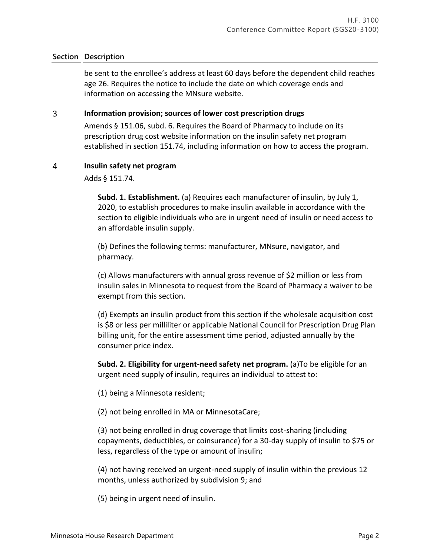be sent to the enrollee's address at least 60 days before the dependent child reaches age 26. Requires the notice to include the date on which coverage ends and information on accessing the MNsure website.

#### 3 **Information provision; sources of lower cost prescription drugs**

Amends § 151.06, subd. 6. Requires the Board of Pharmacy to include on its prescription drug cost website information on the insulin safety net program established in section 151.74, including information on how to access the program.

#### $\overline{4}$ **Insulin safety net program**

Adds § 151.74.

**Subd. 1. Establishment.** (a) Requires each manufacturer of insulin, by July 1, 2020, to establish procedures to make insulin available in accordance with the section to eligible individuals who are in urgent need of insulin or need access to an affordable insulin supply.

(b) Defines the following terms: manufacturer, MNsure, navigator, and pharmacy.

(c) Allows manufacturers with annual gross revenue of \$2 million or less from insulin sales in Minnesota to request from the Board of Pharmacy a waiver to be exempt from this section.

(d) Exempts an insulin product from this section if the wholesale acquisition cost is \$8 or less per milliliter or applicable National Council for Prescription Drug Plan billing unit, for the entire assessment time period, adjusted annually by the consumer price index.

**Subd. 2. Eligibility for urgent-need safety net program.** (a)To be eligible for an urgent need supply of insulin, requires an individual to attest to:

(1) being a Minnesota resident;

(2) not being enrolled in MA or MinnesotaCare;

(3) not being enrolled in drug coverage that limits cost-sharing (including copayments, deductibles, or coinsurance) for a 30-day supply of insulin to \$75 or less, regardless of the type or amount of insulin;

(4) not having received an urgent-need supply of insulin within the previous 12 months, unless authorized by subdivision 9; and

(5) being in urgent need of insulin.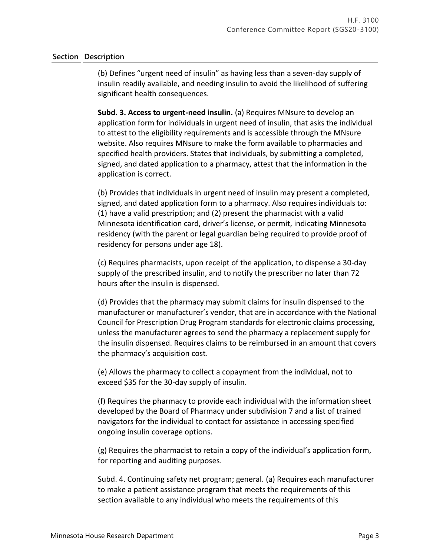(b) Defines "urgent need of insulin" as having less than a seven-day supply of insulin readily available, and needing insulin to avoid the likelihood of suffering significant health consequences.

**Subd. 3. Access to urgent-need insulin.** (a) Requires MNsure to develop an application form for individuals in urgent need of insulin, that asks the individual to attest to the eligibility requirements and is accessible through the MNsure website. Also requires MNsure to make the form available to pharmacies and specified health providers. States that individuals, by submitting a completed, signed, and dated application to a pharmacy, attest that the information in the application is correct.

(b) Provides that individuals in urgent need of insulin may present a completed, signed, and dated application form to a pharmacy. Also requires individuals to: (1) have a valid prescription; and (2) present the pharmacist with a valid Minnesota identification card, driver's license, or permit, indicating Minnesota residency (with the parent or legal guardian being required to provide proof of residency for persons under age 18).

(c) Requires pharmacists, upon receipt of the application, to dispense a 30-day supply of the prescribed insulin, and to notify the prescriber no later than 72 hours after the insulin is dispensed.

(d) Provides that the pharmacy may submit claims for insulin dispensed to the manufacturer or manufacturer's vendor, that are in accordance with the National Council for Prescription Drug Program standards for electronic claims processing, unless the manufacturer agrees to send the pharmacy a replacement supply for the insulin dispensed. Requires claims to be reimbursed in an amount that covers the pharmacy's acquisition cost.

(e) Allows the pharmacy to collect a copayment from the individual, not to exceed \$35 for the 30-day supply of insulin.

(f) Requires the pharmacy to provide each individual with the information sheet developed by the Board of Pharmacy under subdivision 7 and a list of trained navigators for the individual to contact for assistance in accessing specified ongoing insulin coverage options.

(g) Requires the pharmacist to retain a copy of the individual's application form, for reporting and auditing purposes.

Subd. 4. Continuing safety net program; general. (a) Requires each manufacturer to make a patient assistance program that meets the requirements of this section available to any individual who meets the requirements of this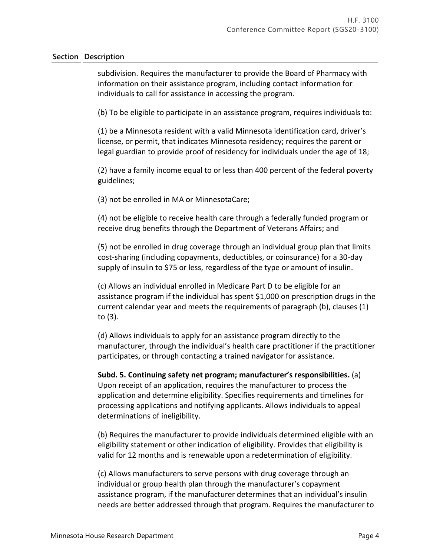subdivision. Requires the manufacturer to provide the Board of Pharmacy with information on their assistance program, including contact information for individuals to call for assistance in accessing the program.

(b) To be eligible to participate in an assistance program, requires individuals to:

(1) be a Minnesota resident with a valid Minnesota identification card, driver's license, or permit, that indicates Minnesota residency; requires the parent or legal guardian to provide proof of residency for individuals under the age of 18;

(2) have a family income equal to or less than 400 percent of the federal poverty guidelines;

(3) not be enrolled in MA or MinnesotaCare;

(4) not be eligible to receive health care through a federally funded program or receive drug benefits through the Department of Veterans Affairs; and

(5) not be enrolled in drug coverage through an individual group plan that limits cost-sharing (including copayments, deductibles, or coinsurance) for a 30-day supply of insulin to \$75 or less, regardless of the type or amount of insulin.

(c) Allows an individual enrolled in Medicare Part D to be eligible for an assistance program if the individual has spent \$1,000 on prescription drugs in the current calendar year and meets the requirements of paragraph (b), clauses (1) to (3).

(d) Allows individuals to apply for an assistance program directly to the manufacturer, through the individual's health care practitioner if the practitioner participates, or through contacting a trained navigator for assistance.

**Subd. 5. Continuing safety net program; manufacturer's responsibilities.** (a) Upon receipt of an application, requires the manufacturer to process the application and determine eligibility. Specifies requirements and timelines for processing applications and notifying applicants. Allows individuals to appeal determinations of ineligibility.

(b) Requires the manufacturer to provide individuals determined eligible with an eligibility statement or other indication of eligibility. Provides that eligibility is valid for 12 months and is renewable upon a redetermination of eligibility.

(c) Allows manufacturers to serve persons with drug coverage through an individual or group health plan through the manufacturer's copayment assistance program, if the manufacturer determines that an individual's insulin needs are better addressed through that program. Requires the manufacturer to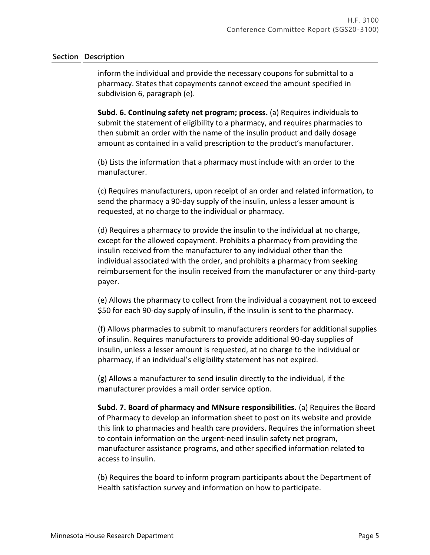inform the individual and provide the necessary coupons for submittal to a pharmacy. States that copayments cannot exceed the amount specified in subdivision 6, paragraph (e).

**Subd. 6. Continuing safety net program; process.** (a) Requires individuals to submit the statement of eligibility to a pharmacy, and requires pharmacies to then submit an order with the name of the insulin product and daily dosage amount as contained in a valid prescription to the product's manufacturer.

(b) Lists the information that a pharmacy must include with an order to the manufacturer.

(c) Requires manufacturers, upon receipt of an order and related information, to send the pharmacy a 90-day supply of the insulin, unless a lesser amount is requested, at no charge to the individual or pharmacy.

(d) Requires a pharmacy to provide the insulin to the individual at no charge, except for the allowed copayment. Prohibits a pharmacy from providing the insulin received from the manufacturer to any individual other than the individual associated with the order, and prohibits a pharmacy from seeking reimbursement for the insulin received from the manufacturer or any third-party payer.

(e) Allows the pharmacy to collect from the individual a copayment not to exceed \$50 for each 90-day supply of insulin, if the insulin is sent to the pharmacy.

(f) Allows pharmacies to submit to manufacturers reorders for additional supplies of insulin. Requires manufacturers to provide additional 90-day supplies of insulin, unless a lesser amount is requested, at no charge to the individual or pharmacy, if an individual's eligibility statement has not expired.

(g) Allows a manufacturer to send insulin directly to the individual, if the manufacturer provides a mail order service option.

**Subd. 7. Board of pharmacy and MNsure responsibilities.** (a) Requires the Board of Pharmacy to develop an information sheet to post on its website and provide this link to pharmacies and health care providers. Requires the information sheet to contain information on the urgent-need insulin safety net program, manufacturer assistance programs, and other specified information related to access to insulin.

(b) Requires the board to inform program participants about the Department of Health satisfaction survey and information on how to participate.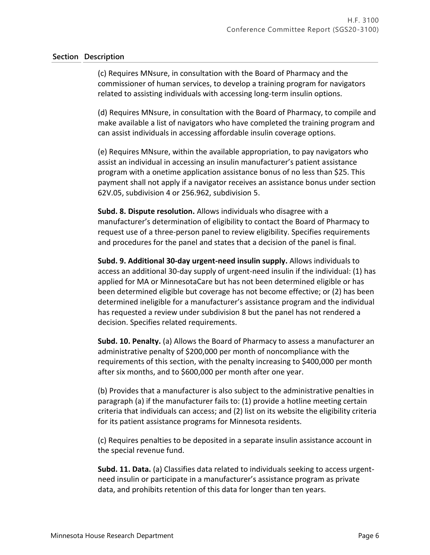(c) Requires MNsure, in consultation with the Board of Pharmacy and the commissioner of human services, to develop a training program for navigators related to assisting individuals with accessing long-term insulin options.

(d) Requires MNsure, in consultation with the Board of Pharmacy, to compile and make available a list of navigators who have completed the training program and can assist individuals in accessing affordable insulin coverage options.

(e) Requires MNsure, within the available appropriation, to pay navigators who assist an individual in accessing an insulin manufacturer's patient assistance program with a onetime application assistance bonus of no less than \$25. This payment shall not apply if a navigator receives an assistance bonus under section 62V.05, subdivision 4 or 256.962, subdivision 5.

**Subd. 8. Dispute resolution.** Allows individuals who disagree with a manufacturer's determination of eligibility to contact the Board of Pharmacy to request use of a three-person panel to review eligibility. Specifies requirements and procedures for the panel and states that a decision of the panel is final.

**Subd. 9. Additional 30-day urgent-need insulin supply.** Allows individuals to access an additional 30-day supply of urgent-need insulin if the individual: (1) has applied for MA or MinnesotaCare but has not been determined eligible or has been determined eligible but coverage has not become effective; or (2) has been determined ineligible for a manufacturer's assistance program and the individual has requested a review under subdivision 8 but the panel has not rendered a decision. Specifies related requirements.

**Subd. 10. Penalty.** (a) Allows the Board of Pharmacy to assess a manufacturer an administrative penalty of \$200,000 per month of noncompliance with the requirements of this section, with the penalty increasing to \$400,000 per month after six months, and to \$600,000 per month after one year.

(b) Provides that a manufacturer is also subject to the administrative penalties in paragraph (a) if the manufacturer fails to: (1) provide a hotline meeting certain criteria that individuals can access; and (2) list on its website the eligibility criteria for its patient assistance programs for Minnesota residents.

(c) Requires penalties to be deposited in a separate insulin assistance account in the special revenue fund.

**Subd. 11. Data.** (a) Classifies data related to individuals seeking to access urgentneed insulin or participate in a manufacturer's assistance program as private data, and prohibits retention of this data for longer than ten years.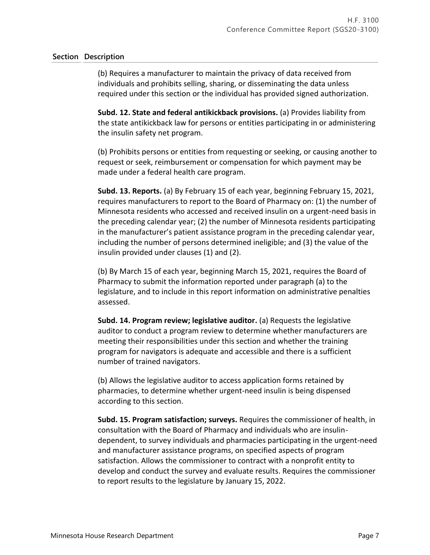(b) Requires a manufacturer to maintain the privacy of data received from individuals and prohibits selling, sharing, or disseminating the data unless required under this section or the individual has provided signed authorization.

**Subd. 12. State and federal antikickback provisions.** (a) Provides liability from the state antikickback law for persons or entities participating in or administering the insulin safety net program.

(b) Prohibits persons or entities from requesting or seeking, or causing another to request or seek, reimbursement or compensation for which payment may be made under a federal health care program.

**Subd. 13. Reports.** (a) By February 15 of each year, beginning February 15, 2021, requires manufacturers to report to the Board of Pharmacy on: (1) the number of Minnesota residents who accessed and received insulin on a urgent-need basis in the preceding calendar year; (2) the number of Minnesota residents participating in the manufacturer's patient assistance program in the preceding calendar year, including the number of persons determined ineligible; and (3) the value of the insulin provided under clauses (1) and (2).

(b) By March 15 of each year, beginning March 15, 2021, requires the Board of Pharmacy to submit the information reported under paragraph (a) to the legislature, and to include in this report information on administrative penalties assessed.

**Subd. 14. Program review; legislative auditor.** (a) Requests the legislative auditor to conduct a program review to determine whether manufacturers are meeting their responsibilities under this section and whether the training program for navigators is adequate and accessible and there is a sufficient number of trained navigators.

(b) Allows the legislative auditor to access application forms retained by pharmacies, to determine whether urgent-need insulin is being dispensed according to this section.

**Subd. 15. Program satisfaction; surveys.** Requires the commissioner of health, in consultation with the Board of Pharmacy and individuals who are insulindependent, to survey individuals and pharmacies participating in the urgent-need and manufacturer assistance programs, on specified aspects of program satisfaction. Allows the commissioner to contract with a nonprofit entity to develop and conduct the survey and evaluate results. Requires the commissioner to report results to the legislature by January 15, 2022.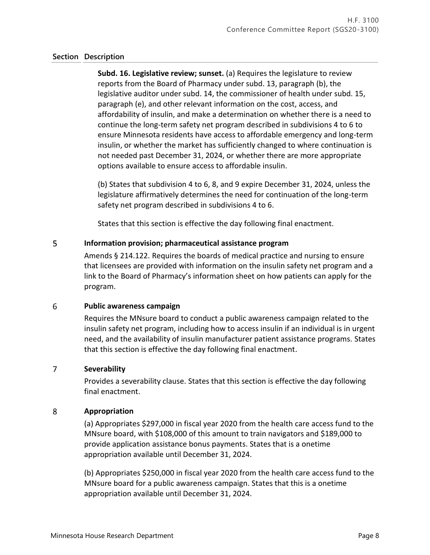**Subd. 16. Legislative review; sunset.** (a) Requires the legislature to review reports from the Board of Pharmacy under subd. 13, paragraph (b), the legislative auditor under subd. 14, the commissioner of health under subd. 15, paragraph (e), and other relevant information on the cost, access, and affordability of insulin, and make a determination on whether there is a need to continue the long-term safety net program described in subdivisions 4 to 6 to ensure Minnesota residents have access to affordable emergency and long-term insulin, or whether the market has sufficiently changed to where continuation is not needed past December 31, 2024, or whether there are more appropriate options available to ensure access to affordable insulin.

(b) States that subdivision 4 to 6, 8, and 9 expire December 31, 2024, unless the legislature affirmatively determines the need for continuation of the long-term safety net program described in subdivisions 4 to 6.

States that this section is effective the day following final enactment.

#### 5 **Information provision; pharmaceutical assistance program**

Amends § 214.122. Requires the boards of medical practice and nursing to ensure that licensees are provided with information on the insulin safety net program and a link to the Board of Pharmacy's information sheet on how patients can apply for the program.

#### 6 **Public awareness campaign**

Requires the MNsure board to conduct a public awareness campaign related to the insulin safety net program, including how to access insulin if an individual is in urgent need, and the availability of insulin manufacturer patient assistance programs. States that this section is effective the day following final enactment.

#### $\overline{7}$ **Severability**

Provides a severability clause. States that this section is effective the day following final enactment.

#### 8 **Appropriation**

(a) Appropriates \$297,000 in fiscal year 2020 from the health care access fund to the MNsure board, with \$108,000 of this amount to train navigators and \$189,000 to provide application assistance bonus payments. States that is a onetime appropriation available until December 31, 2024.

(b) Appropriates \$250,000 in fiscal year 2020 from the health care access fund to the MNsure board for a public awareness campaign. States that this is a onetime appropriation available until December 31, 2024.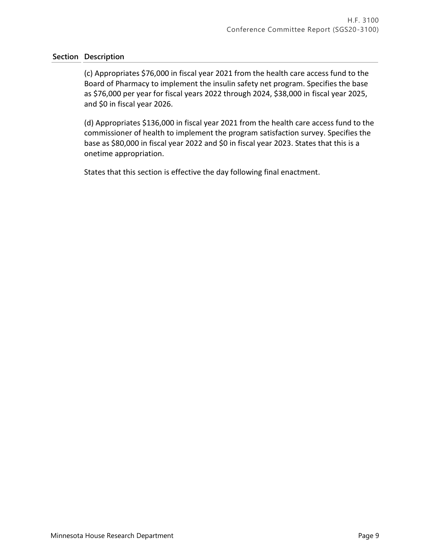(c) Appropriates \$76,000 in fiscal year 2021 from the health care access fund to the Board of Pharmacy to implement the insulin safety net program. Specifies the base as \$76,000 per year for fiscal years 2022 through 2024, \$38,000 in fiscal year 2025, and \$0 in fiscal year 2026.

(d) Appropriates \$136,000 in fiscal year 2021 from the health care access fund to the commissioner of health to implement the program satisfaction survey. Specifies the base as \$80,000 in fiscal year 2022 and \$0 in fiscal year 2023. States that this is a onetime appropriation.

States that this section is effective the day following final enactment.